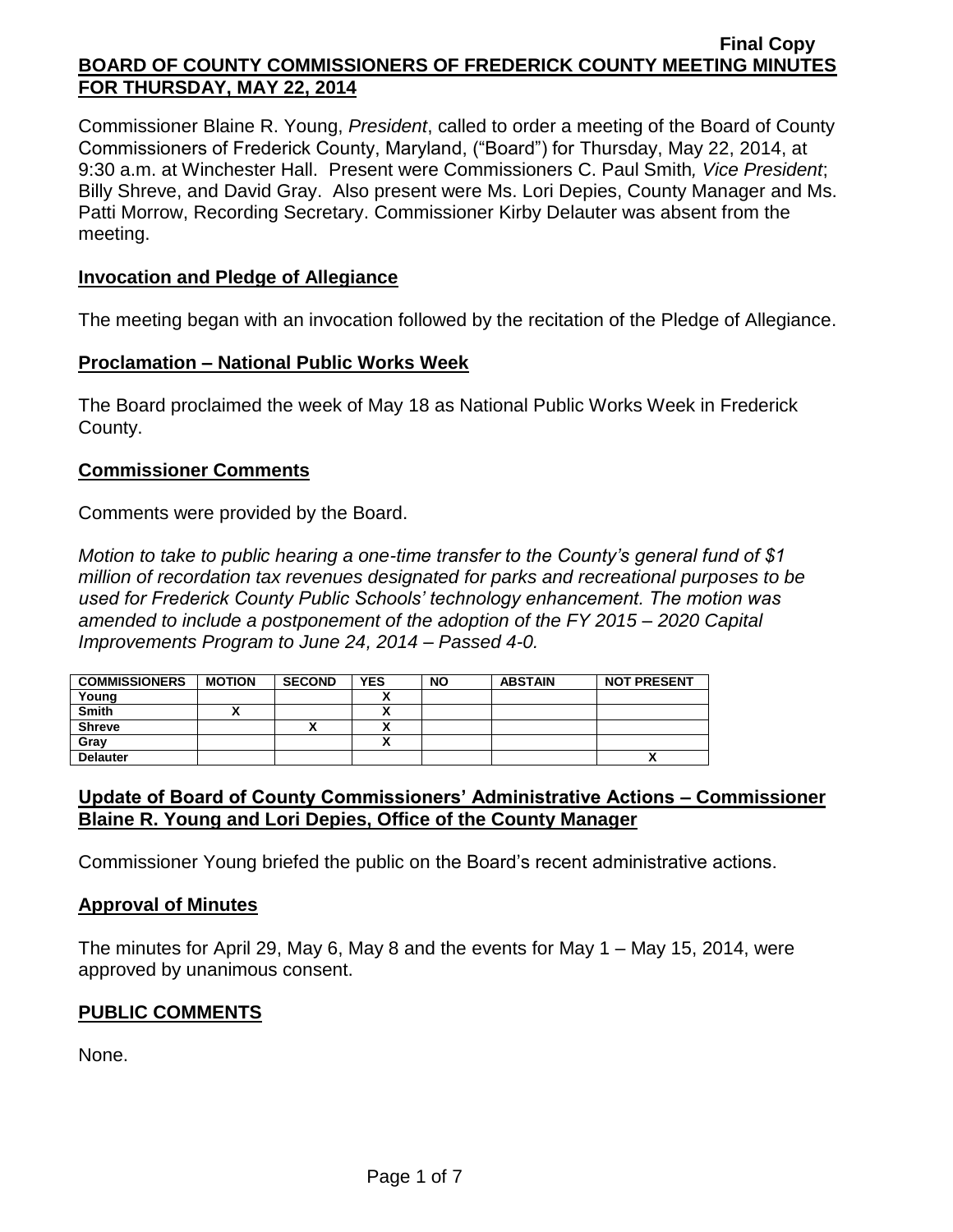Commissioner Blaine R. Young, *President*, called to order a meeting of the Board of County Commissioners of Frederick County, Maryland, ("Board") for Thursday, May 22, 2014, at 9:30 a.m. at Winchester Hall. Present were Commissioners C. Paul Smith*, Vice President*; Billy Shreve, and David Gray. Also present were Ms. Lori Depies, County Manager and Ms. Patti Morrow, Recording Secretary. Commissioner Kirby Delauter was absent from the meeting.

### **Invocation and Pledge of Allegiance**

The meeting began with an invocation followed by the recitation of the Pledge of Allegiance.

### **Proclamation – National Public Works Week**

The Board proclaimed the week of May 18 as National Public Works Week in Frederick County.

### **Commissioner Comments**

Comments were provided by the Board.

*Motion to take to public hearing a one-time transfer to the County's general fund of \$1 million of recordation tax revenues designated for parks and recreational purposes to be used for Frederick County Public Schools' technology enhancement. The motion was amended to include a postponement of the adoption of the FY 2015 – 2020 Capital Improvements Program to June 24, 2014 – Passed 4-0.*

| <b>COMMISSIONERS</b> | <b>MOTION</b> | <b>SECOND</b> | <b>YES</b> | <b>NO</b> | <b>ABSTAIN</b> | <b>NOT PRESENT</b> |
|----------------------|---------------|---------------|------------|-----------|----------------|--------------------|
| Young                |               |               |            |           |                |                    |
| <b>Smith</b>         |               |               |            |           |                |                    |
| <b>Shreve</b>        |               |               |            |           |                |                    |
| Gray                 |               |               |            |           |                |                    |
| <b>Delauter</b>      |               |               |            |           |                | $\mathbf{\Lambda}$ |

# **Update of Board of County Commissioners' Administrative Actions – Commissioner Blaine R. Young and Lori Depies, Office of the County Manager**

Commissioner Young briefed the public on the Board's recent administrative actions.

### **Approval of Minutes**

The minutes for April 29, May 6, May 8 and the events for May 1 – May 15, 2014, were approved by unanimous consent.

## **PUBLIC COMMENTS**

None.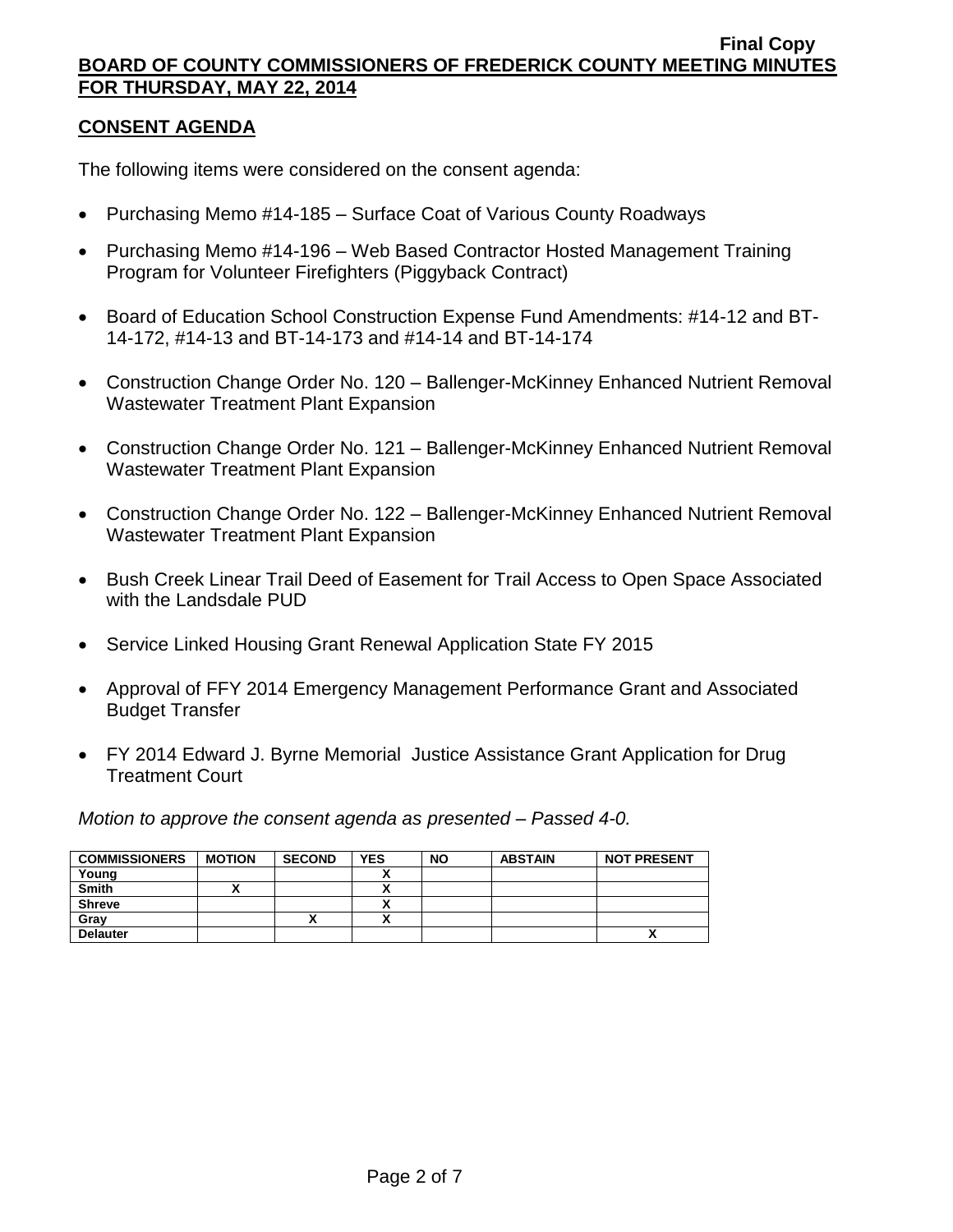## **CONSENT AGENDA**

The following items were considered on the consent agenda:

- Purchasing Memo #14-185 Surface Coat of Various County Roadways
- Purchasing Memo #14-196 Web Based Contractor Hosted Management Training Program for Volunteer Firefighters (Piggyback Contract)
- Board of Education School Construction Expense Fund Amendments: #14-12 and BT-14-172, #14-13 and BT-14-173 and #14-14 and BT-14-174
- Construction Change Order No. 120 Ballenger-McKinney Enhanced Nutrient Removal Wastewater Treatment Plant Expansion
- Construction Change Order No. 121 Ballenger-McKinney Enhanced Nutrient Removal Wastewater Treatment Plant Expansion
- Construction Change Order No. 122 Ballenger-McKinney Enhanced Nutrient Removal Wastewater Treatment Plant Expansion
- Bush Creek Linear Trail Deed of Easement for Trail Access to Open Space Associated with the Landsdale PUD
- Service Linked Housing Grant Renewal Application State FY 2015
- Approval of FFY 2014 Emergency Management Performance Grant and Associated Budget Transfer
- FY 2014 Edward J. Byrne Memorial Justice Assistance Grant Application for Drug Treatment Court

*Motion to approve the consent agenda as presented – Passed 4-0.*

| <b>COMMISSIONERS</b> | <b>MOTION</b> | <b>SECOND</b> | <b>YES</b> | <b>NO</b> | <b>ABSTAIN</b> | <b>NOT PRESENT</b> |
|----------------------|---------------|---------------|------------|-----------|----------------|--------------------|
| Young                |               |               |            |           |                |                    |
| <b>Smith</b>         |               |               |            |           |                |                    |
| <b>Shreve</b>        |               |               |            |           |                |                    |
| Grav                 |               | ↗             |            |           |                |                    |
| <b>Delauter</b>      |               |               |            |           |                | $\cdot$            |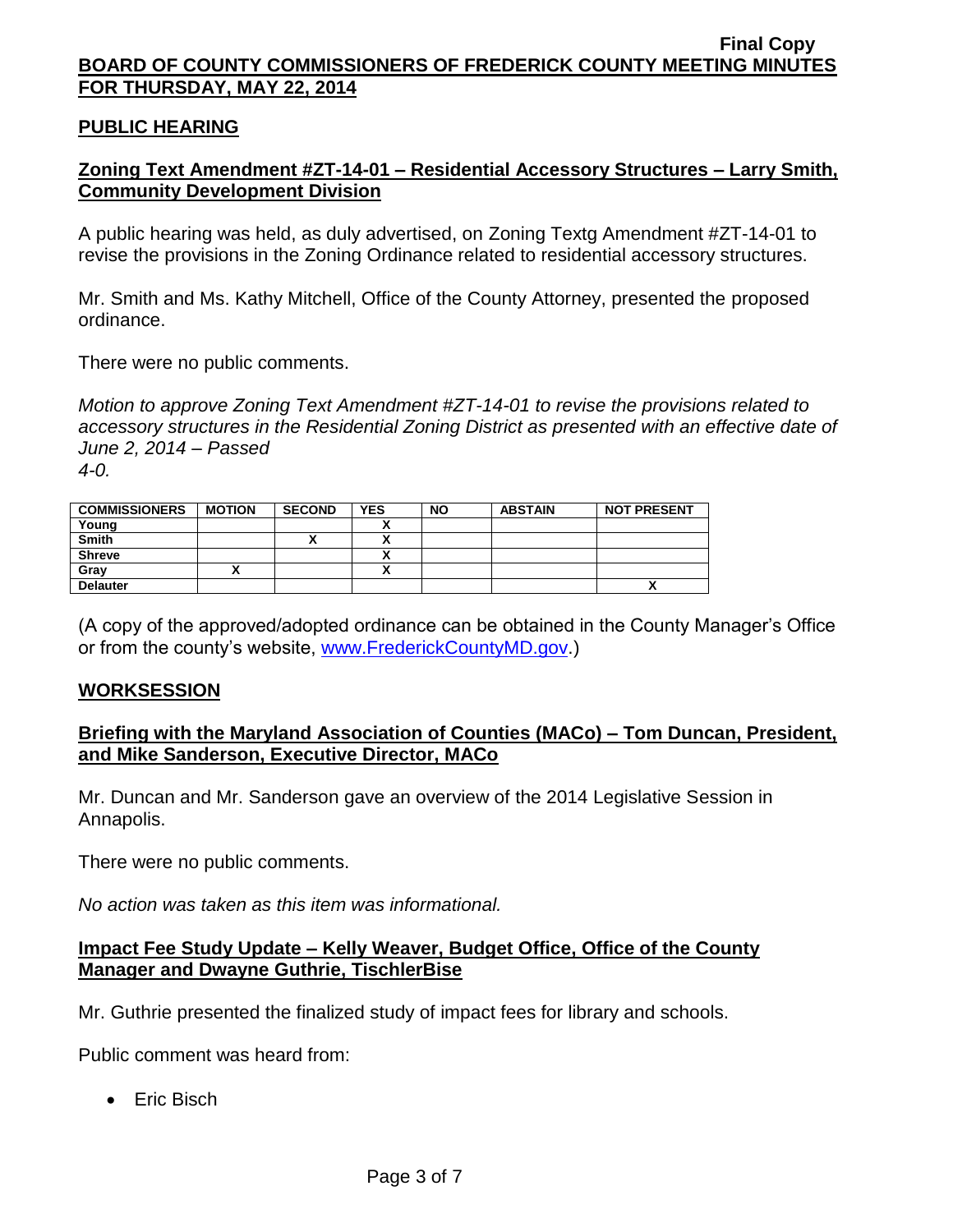## **PUBLIC HEARING**

# **Zoning Text Amendment #ZT-14-01 – Residential Accessory Structures – Larry Smith, Community Development Division**

A public hearing was held, as duly advertised, on Zoning Textg Amendment #ZT-14-01 to revise the provisions in the Zoning Ordinance related to residential accessory structures.

Mr. Smith and Ms. Kathy Mitchell, Office of the County Attorney, presented the proposed ordinance.

There were no public comments.

*Motion to approve Zoning Text Amendment #ZT-14-01 to revise the provisions related to accessory structures in the Residential Zoning District as presented with an effective date of June 2, 2014 – Passed 4-0.*

| <b>COMMISSIONERS</b> | <b>MOTION</b> | <b>SECOND</b> | <b>YES</b> | <b>NO</b> | <b>ABSTAIN</b> | <b>NOT PRESENT</b> |
|----------------------|---------------|---------------|------------|-----------|----------------|--------------------|
| Young                |               |               |            |           |                |                    |
| <b>Smith</b>         |               |               | ٠.         |           |                |                    |
| <b>Shreve</b>        |               |               |            |           |                |                    |
| Grav                 |               |               |            |           |                |                    |
| <b>Delauter</b>      |               |               |            |           |                | "                  |

(A copy of the approved/adopted ordinance can be obtained in the County Manager's Office or from the county's website, [www.FrederickCountyMD.gov.](http://www.frederickcountymd.gov/))

#### **WORKSESSION**

## **Briefing with the Maryland Association of Counties (MACo) – Tom Duncan, President, and Mike Sanderson, Executive Director, MACo**

Mr. Duncan and Mr. Sanderson gave an overview of the 2014 Legislative Session in Annapolis.

There were no public comments.

*No action was taken as this item was informational.*

## **Impact Fee Study Update – Kelly Weaver, Budget Office, Office of the County Manager and Dwayne Guthrie, TischlerBise**

Mr. Guthrie presented the finalized study of impact fees for library and schools.

Public comment was heard from:

• Eric Bisch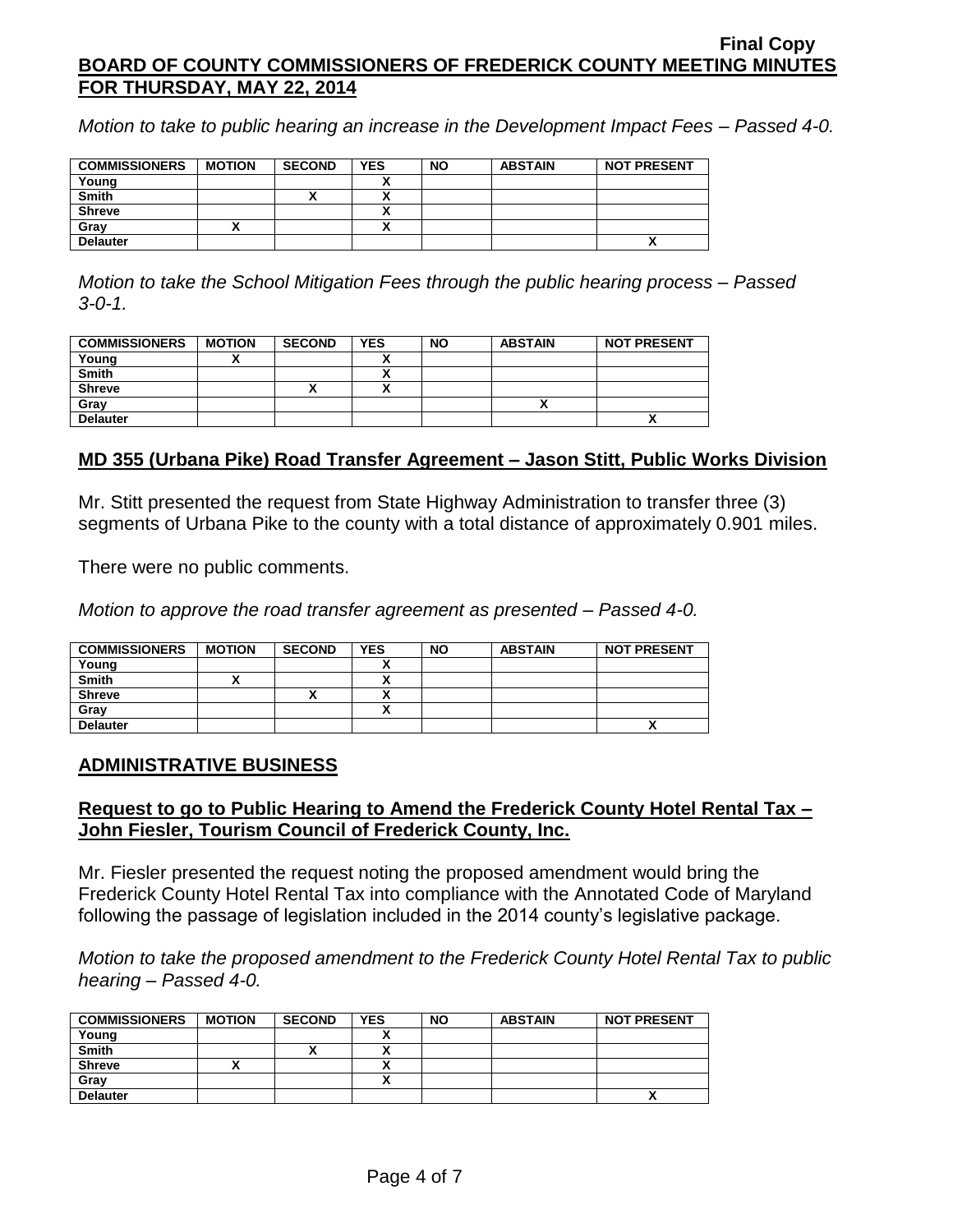*Motion to take to public hearing an increase in the Development Impact Fees – Passed 4-0.*

| <b>COMMISSIONERS</b> | <b>MOTION</b> | <b>SECOND</b> | <b>YES</b> | <b>NO</b> | <b>ABSTAIN</b> | <b>NOT PRESENT</b> |
|----------------------|---------------|---------------|------------|-----------|----------------|--------------------|
| Young                |               |               |            |           |                |                    |
| <b>Smith</b>         |               |               |            |           |                |                    |
| <b>Shreve</b>        |               |               |            |           |                |                    |
| Gray                 |               |               |            |           |                |                    |
| <b>Delauter</b>      |               |               |            |           |                | Δ                  |

*Motion to take the School Mitigation Fees through the public hearing process – Passed 3-0-1.*

| <b>COMMISSIONERS</b> | <b>MOTION</b> | <b>SECOND</b> | <b>YES</b> | <b>NO</b> | <b>ABSTAIN</b> | <b>NOT PRESENT</b> |
|----------------------|---------------|---------------|------------|-----------|----------------|--------------------|
| Young                |               |               |            |           |                |                    |
| <b>Smith</b>         |               |               | . .        |           |                |                    |
| <b>Shreve</b>        |               | "             |            |           |                |                    |
| Gray                 |               |               |            |           |                |                    |
| <b>Delauter</b>      |               |               |            |           |                |                    |

### **MD 355 (Urbana Pike) Road Transfer Agreement – Jason Stitt, Public Works Division**

Mr. Stitt presented the request from State Highway Administration to transfer three (3) segments of Urbana Pike to the county with a total distance of approximately 0.901 miles.

There were no public comments.

*Motion to approve the road transfer agreement as presented – Passed 4-0.*

| <b>COMMISSIONERS</b> | <b>MOTION</b> | <b>SECOND</b> | <b>YES</b> | <b>NO</b> | <b>ABSTAIN</b> | <b>NOT PRESENT</b>         |
|----------------------|---------------|---------------|------------|-----------|----------------|----------------------------|
| Young                |               |               |            |           |                |                            |
| <b>Smith</b>         |               |               |            |           |                |                            |
| <b>Shreve</b>        |               |               | v          |           |                |                            |
| Gray                 |               |               |            |           |                |                            |
| <b>Delauter</b>      |               |               |            |           |                | $\boldsymbol{\mathcal{L}}$ |

#### **ADMINISTRATIVE BUSINESS**

### **Request to go to Public Hearing to Amend the Frederick County Hotel Rental Tax – John Fiesler, Tourism Council of Frederick County, Inc.**

Mr. Fiesler presented the request noting the proposed amendment would bring the Frederick County Hotel Rental Tax into compliance with the Annotated Code of Maryland following the passage of legislation included in the 2014 county's legislative package.

*Motion to take the proposed amendment to the Frederick County Hotel Rental Tax to public hearing – Passed 4-0.*

| <b>COMMISSIONERS</b> | <b>MOTION</b> | <b>SECOND</b> | <b>YES</b> | <b>NO</b> | <b>ABSTAIN</b> | <b>NOT PRESENT</b> |
|----------------------|---------------|---------------|------------|-----------|----------------|--------------------|
| Young                |               |               |            |           |                |                    |
| Smith                |               | ↗             |            |           |                |                    |
| <b>Shreve</b>        | ,,            |               |            |           |                |                    |
| Grav                 |               |               |            |           |                |                    |
| <b>Delauter</b>      |               |               |            |           |                | "                  |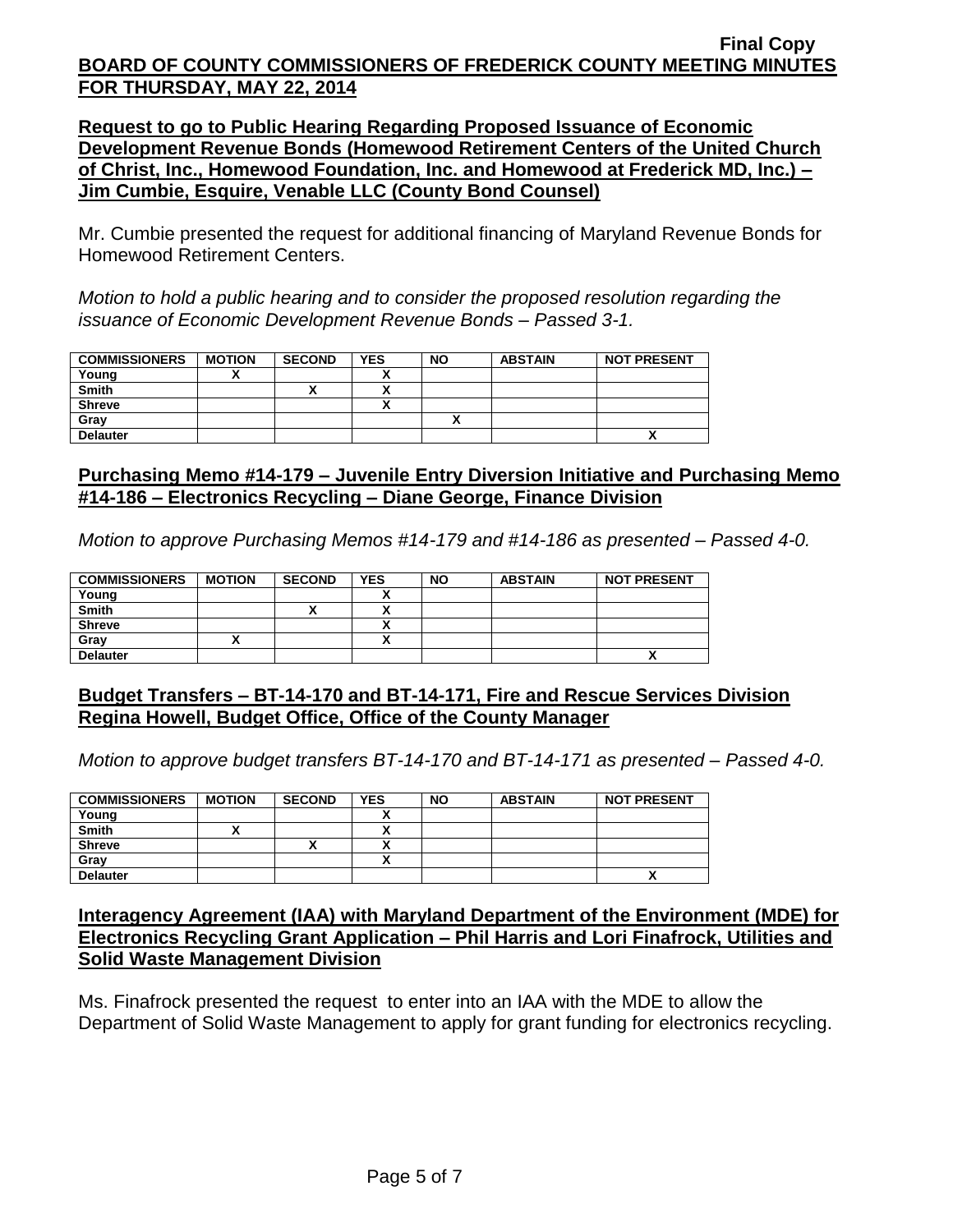**Request to go to Public Hearing Regarding Proposed Issuance of Economic Development Revenue Bonds (Homewood Retirement Centers of the United Church of Christ, Inc., Homewood Foundation, Inc. and Homewood at Frederick MD, Inc.) – Jim Cumbie, Esquire, Venable LLC (County Bond Counsel)**

Mr. Cumbie presented the request for additional financing of Maryland Revenue Bonds for Homewood Retirement Centers.

*Motion to hold a public hearing and to consider the proposed resolution regarding the issuance of Economic Development Revenue Bonds – Passed 3-1.*

| <b>COMMISSIONERS</b> | <b>MOTION</b> | <b>SECOND</b> | <b>YES</b> | <b>NO</b> | <b>ABSTAIN</b> | <b>NOT PRESENT</b> |
|----------------------|---------------|---------------|------------|-----------|----------------|--------------------|
| Young                |               |               |            |           |                |                    |
| Smith                |               |               |            |           |                |                    |
| <b>Shreve</b>        |               |               | ~          |           |                |                    |
| Grav                 |               |               |            |           |                |                    |
| <b>Delauter</b>      |               |               |            |           |                | Λ                  |

# **Purchasing Memo #14-179 – Juvenile Entry Diversion Initiative and Purchasing Memo #14-186 – Electronics Recycling – Diane George, Finance Division**

*Motion to approve Purchasing Memos #14-179 and #14-186 as presented – Passed 4-0.*

| <b>COMMISSIONERS</b> | <b>MOTION</b> | <b>SECOND</b> | <b>YES</b> | <b>NO</b> | <b>ABSTAIN</b> | <b>NOT PRESENT</b> |
|----------------------|---------------|---------------|------------|-----------|----------------|--------------------|
| Young                |               |               | ,,         |           |                |                    |
| <b>Smith</b>         |               |               | ↗          |           |                |                    |
| <b>Shreve</b>        |               |               | ↗          |           |                |                    |
| Gray                 |               |               |            |           |                |                    |
| <b>Delauter</b>      |               |               |            |           |                |                    |

## **Budget Transfers – BT-14-170 and BT-14-171, Fire and Rescue Services Division Regina Howell, Budget Office, Office of the County Manager**

*Motion to approve budget transfers BT-14-170 and BT-14-171 as presented – Passed 4-0.*

| <b>COMMISSIONERS</b> | <b>MOTION</b> | <b>SECOND</b> | <b>YES</b> | <b>NO</b> | <b>ABSTAIN</b> | <b>NOT PRESENT</b> |
|----------------------|---------------|---------------|------------|-----------|----------------|--------------------|
| Young                |               |               |            |           |                |                    |
| <b>Smith</b>         |               |               |            |           |                |                    |
| <b>Shreve</b>        |               |               |            |           |                |                    |
| Gray                 |               |               |            |           |                |                    |
| <b>Delauter</b>      |               |               |            |           |                | Λ                  |

## **Interagency Agreement (IAA) with Maryland Department of the Environment (MDE) for Electronics Recycling Grant Application – Phil Harris and Lori Finafrock, Utilities and Solid Waste Management Division**

Ms. Finafrock presented the request to enter into an IAA with the MDE to allow the Department of Solid Waste Management to apply for grant funding for electronics recycling.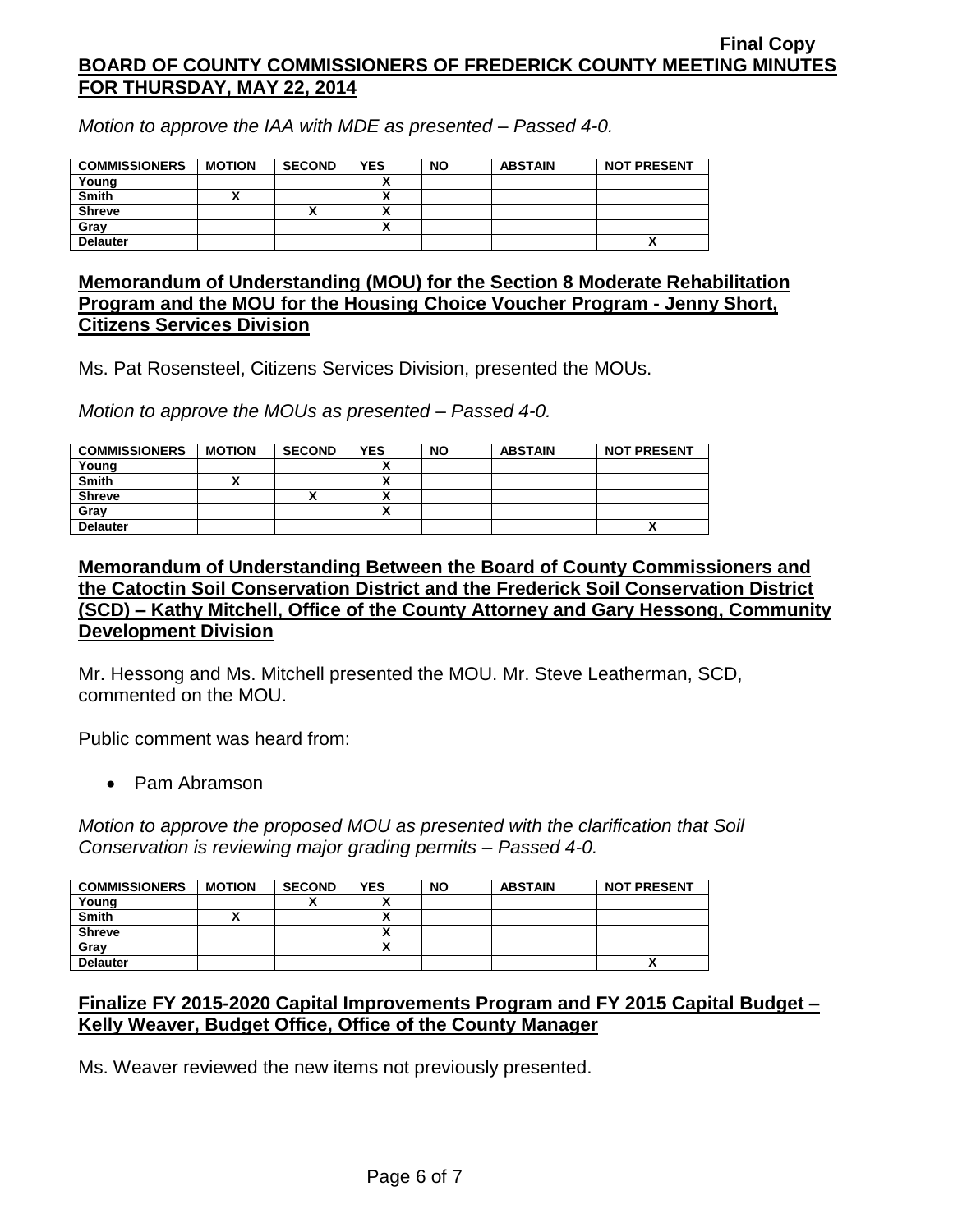*Motion to approve the IAA with MDE as presented – Passed 4-0.*

| <b>COMMISSIONERS</b> | <b>MOTION</b> | <b>SECOND</b> | <b>YES</b> | <b>NO</b> | <b>ABSTAIN</b> | <b>NOT PRESENT</b>       |
|----------------------|---------------|---------------|------------|-----------|----------------|--------------------------|
| Young                |               |               |            |           |                |                          |
| <b>Smith</b>         |               |               |            |           |                |                          |
| <b>Shreve</b>        |               |               |            |           |                |                          |
| Gray                 |               |               |            |           |                |                          |
| <b>Delauter</b>      |               |               |            |           |                | $\overline{\phantom{a}}$ |

## **Memorandum of Understanding (MOU) for the Section 8 Moderate Rehabilitation Program and the MOU for the Housing Choice Voucher Program - Jenny Short, Citizens Services Division**

Ms. Pat Rosensteel, Citizens Services Division, presented the MOUs.

*Motion to approve the MOUs as presented – Passed 4-0.*

| <b>COMMISSIONERS</b> | <b>MOTION</b> | <b>SECOND</b> | <b>YES</b> | <b>NO</b> | <b>ABSTAIN</b> | <b>NOT PRESENT</b> |
|----------------------|---------------|---------------|------------|-----------|----------------|--------------------|
| Young                |               |               |            |           |                |                    |
| <b>Smith</b>         |               |               |            |           |                |                    |
| <b>Shreve</b>        |               | ↗             |            |           |                |                    |
| Grav                 |               |               |            |           |                |                    |
| <b>Delauter</b>      |               |               |            |           |                | Δ                  |

## **Memorandum of Understanding Between the Board of County Commissioners and the Catoctin Soil Conservation District and the Frederick Soil Conservation District (SCD) – Kathy Mitchell, Office of the County Attorney and Gary Hessong, Community Development Division**

Mr. Hessong and Ms. Mitchell presented the MOU. Mr. Steve Leatherman, SCD, commented on the MOU.

Public comment was heard from:

• Pam Abramson

*Motion to approve the proposed MOU as presented with the clarification that Soil Conservation is reviewing major grading permits – Passed 4-0.*

| <b>COMMISSIONERS</b> | <b>MOTION</b> | <b>SECOND</b> | <b>YES</b> | <b>NO</b> | <b>ABSTAIN</b> | <b>NOT PRESENT</b> |
|----------------------|---------------|---------------|------------|-----------|----------------|--------------------|
| Young                |               | Λ             |            |           |                |                    |
| <b>Smith</b>         |               |               |            |           |                |                    |
| <b>Shreve</b>        |               |               |            |           |                |                    |
| Gray                 |               |               |            |           |                |                    |
| <b>Delauter</b>      |               |               |            |           |                | ^                  |

# **Finalize FY 2015-2020 Capital Improvements Program and FY 2015 Capital Budget – Kelly Weaver, Budget Office, Office of the County Manager**

Ms. Weaver reviewed the new items not previously presented.